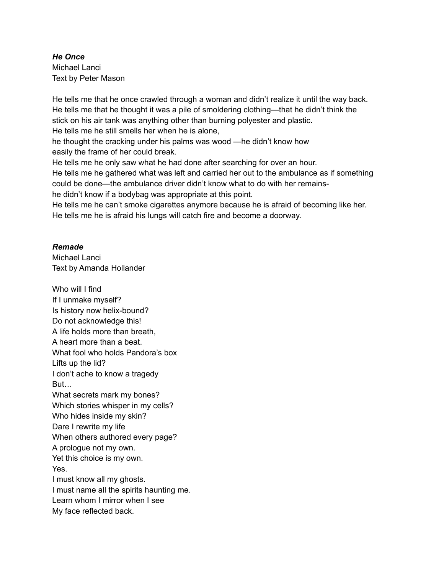# *He Once* Michael Lanci Text by Peter Mason

He tells me that he once crawled through a woman and didn't realize it until the way back. He tells me that he thought it was a pile of smoldering clothing—that he didn't think the stick on his air tank was anything other than burning polyester and plastic. He tells me he still smells her when he is alone, he thought the cracking under his palms was wood —he didn't know how easily the frame of her could break. He tells me he only saw what he had done after searching for over an hour. He tells me he gathered what was left and carried her out to the ambulance as if something could be done—the ambulance driver didn't know what to do with her remainshe didn't know if a bodybag was appropriate at this point. He tells me he can't smoke cigarettes anymore because he is afraid of becoming like her.

He tells me he is afraid his lungs will catch fire and become a doorway.

## *Remade*

Michael Lanci Text by Amanda Hollander

Who will I find If I unmake myself? Is history now helix-bound? Do not acknowledge this! A life holds more than breath, A heart more than a beat. What fool who holds Pandora's box Lifts up the lid? I don't ache to know a tragedy But… What secrets mark my bones? Which stories whisper in my cells? Who hides inside my skin? Dare I rewrite my life When others authored every page? A prologue not my own. Yet this choice is my own. Yes. I must know all my ghosts. I must name all the spirits haunting me. Learn whom I mirror when I see My face reflected back.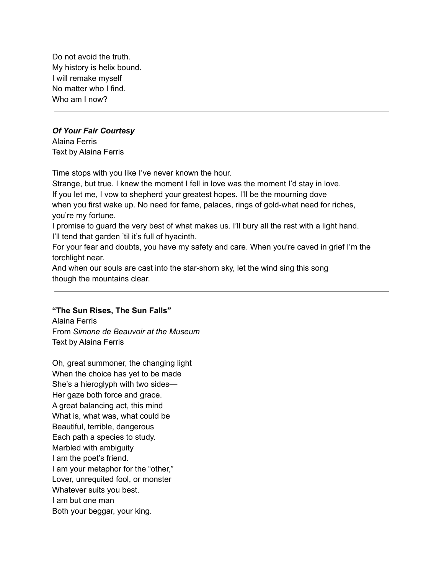Do not avoid the truth. My history is helix bound. I will remake myself No matter who I find. Who am I now?

#### *Of Your Fair Courtesy*

Alaina Ferris Text by Alaina Ferris

Time stops with you like I've never known the hour.

Strange, but true. I knew the moment I fell in love was the moment I'd stay in love. If you let me, I vow to shepherd your greatest hopes. I'll be the mourning dove when you first wake up. No need for fame, palaces, rings of gold-what need for riches, you're my fortune.

I promise to guard the very best of what makes us. I'll bury all the rest with a light hand. I'll tend that garden 'til it's full of hyacinth.

For your fear and doubts, you have my safety and care. When you're caved in grief I'm the torchlight near.

And when our souls are cast into the star-shorn sky, let the wind sing this song though the mountains clear.

## **"The Sun Rises, The Sun Falls"**

Alaina Ferris From *Simone de Beauvoir at the Museum* Text by Alaina Ferris

Oh, great summoner, the changing light When the choice has yet to be made She's a hieroglyph with two sides— Her gaze both force and grace. A great balancing act, this mind What is, what was, what could be Beautiful, terrible, dangerous Each path a species to study. Marbled with ambiguity I am the poet's friend. I am your metaphor for the "other," Lover, unrequited fool, or monster Whatever suits you best. I am but one man Both your beggar, your king.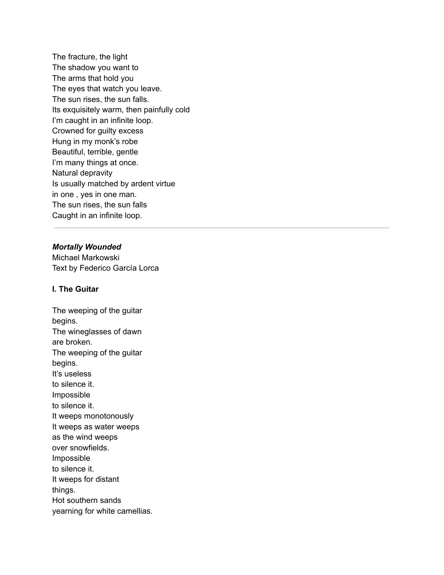The fracture, the light The shadow you want to The arms that hold you The eyes that watch you leave. The sun rises, the sun falls. Its exquisitely warm, then painfully cold I'm caught in an infinite loop. Crowned for guilty excess Hung in my monk's robe Beautiful, terrible, gentle I'm many things at once. Natural depravity Is usually matched by ardent virtue in one , yes in one man. The sun rises, the sun falls Caught in an infinite loop.

### *Mortally Wounded*

Michael Markowski Text by Federico García Lorca

## **I. The Guitar**

The weeping of the guitar begins. The wineglasses of dawn are broken. The weeping of the guitar begins. It's useless to silence it. Impossible to silence it. It weeps monotonously It weeps as water weeps as the wind weeps over snowfields. Impossible to silence it. It weeps for distant things. Hot southern sands yearning for white camellias.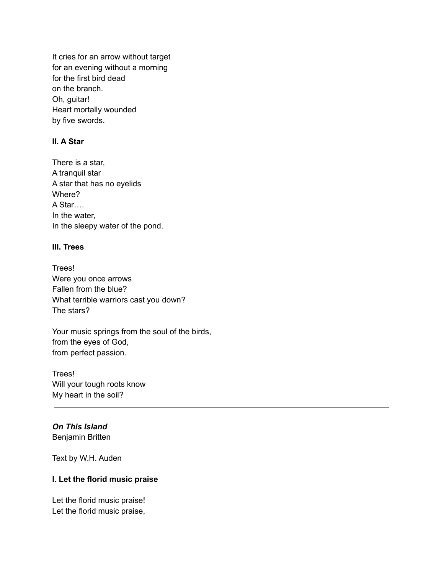It cries for an arrow without target for an evening without a morning for the first bird dead on the branch. Oh, guitar! Heart mortally wounded by five swords.

## **II. A Star**

There is a star, A tranquil star A star that has no eyelids Where? A Star…. In the water, In the sleepy water of the pond.

#### **III. Trees**

Trees! Were you once arrows Fallen from the blue? What terrible warriors cast you down? The stars?

Your music springs from the soul of the birds, from the eyes of God, from perfect passion.

Trees! Will your tough roots know My heart in the soil?

### *On This Island* Benjamin Britten

Text by W.H. Auden

#### **I. Let the florid music praise**

Let the florid music praise! Let the florid music praise,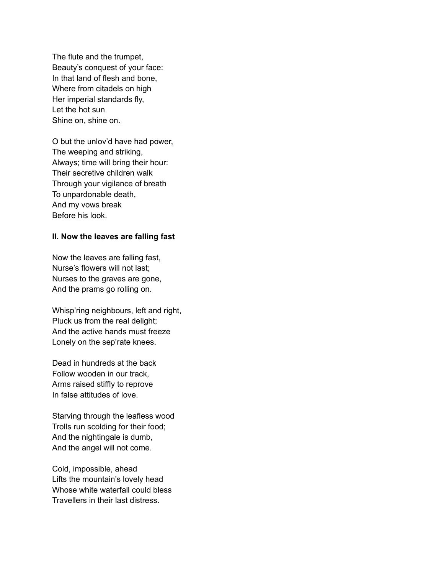The flute and the trumpet, Beauty's conquest of your face: In that land of flesh and bone, Where from citadels on high Her imperial standards fly, Let the hot sun Shine on, shine on.

O but the unlov'd have had power, The weeping and striking, Always; time will bring their hour: Their secretive children walk Through your vigilance of breath To unpardonable death, And my vows break Before his look.

### **II. Now the leaves are falling fast**

Now the leaves are falling fast, Nurse's flowers will not last; Nurses to the graves are gone, And the prams go rolling on.

Whisp'ring neighbours, left and right, Pluck us from the real delight; And the active hands must freeze Lonely on the sep'rate knees.

Dead in hundreds at the back Follow wooden in our track, Arms raised stiffly to reprove In false attitudes of love.

Starving through the leafless wood Trolls run scolding for their food; And the nightingale is dumb, And the angel will not come.

Cold, impossible, ahead Lifts the mountain's lovely head Whose white waterfall could bless Travellers in their last distress.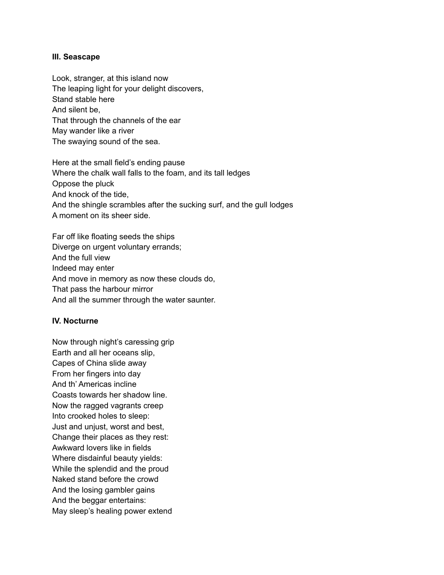### **III. Seascape**

Look, stranger, at this island now The leaping light for your delight discovers, Stand stable here And silent be, That through the channels of the ear May wander like a river The swaying sound of the sea.

Here at the small field's ending pause Where the chalk wall falls to the foam, and its tall ledges Oppose the pluck And knock of the tide, And the shingle scrambles after the sucking surf, and the gull lodges A moment on its sheer side.

Far off like floating seeds the ships Diverge on urgent voluntary errands; And the full view Indeed may enter And move in memory as now these clouds do, That pass the harbour mirror And all the summer through the water saunter.

## **IV. Nocturne**

Now through night's caressing grip Earth and all her oceans slip, Capes of China slide away From her fingers into day And th' Americas incline Coasts towards her shadow line. Now the ragged vagrants creep Into crooked holes to sleep: Just and unjust, worst and best, Change their places as they rest: Awkward lovers like in fields Where disdainful beauty yields: While the splendid and the proud Naked stand before the crowd And the losing gambler gains And the beggar entertains: May sleep's healing power extend